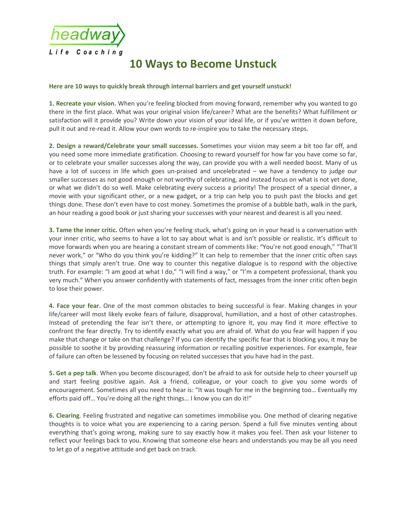

## 10 Ways to Become Unstuck

## Here are 10 ways to quickly break through internal barriers and get yourself unstuck!

1. Recreate your vision. When you're feeling blocked from moving forward, remember why you wanted to go there in the first place. What was your original vision life/career? What are the benefits? What fulfillment or satisfaction will it provide you? Write down your vision of your ideal life, or if you've written it down before, pull it out and re-read it. Allow your own words to re-inspire you to take the necessary steps.

2. Design a reward/Celebrate your small successes. Sometimes your vision may seem a bit too far off, and you need some more immediate gratification. Choosing to reward yourself for how far you have come so far, or to celebrate your smaller successes along the way, can provide you with a well needed boost. Many of us have a lot of success in life which goes un-praised and uncelebrated – we have a tendency to judge our smaller successes as not good enough or not worthy of celebrating, and instead focus on what is not yet done, or what we didn't do so well. Make celebrating every success a priority! The prospect of a special dinner, a movie with your significant other, or a new gadget, or a trip can help you to push past the blocks and get things done. These don't even have to cost money. Sometimes the promise of a bubble bath, walk in the park, an hour reading a good book or just sharing your successes with your nearest and dearest is all you need.

3. Tame the inner critic. Often when you're feeling stuck, what's going on in your head is a conversation with your inner critic, who seems to have a lot to say about what is and isn't possible or realistic. It's difficult to move forwards when you are hearing a constant stream of comments like: "You're not good enough," "That'll never work," or "Who do you think you're kidding?" It can help to remember that the inner critic often says things that simply aren't true. One way to counter this negative dialogue is to respond with the objective truth. For example: "I am good at what I do," "I will find a way," or "I'm a competent professional, thank you very much." When you answer confidently with statements of fact, messages from the inner critic often begin to lose their power.

4. Face your fear. One of the most common obstacles to being successful is fear. Making changes in your life/career will most likely evoke fears of failure, disapproval, humiliation, and a host of other catastrophes. Instead of pretending the fear isn't there, or attempting to ignore it, you may find it more effective to confront the fear directly. Try to identify exactly what you are afraid of. What do you fear will happen if you make that change or take on that challenge? If you can identify the specific fear that is blocking you, it may be possible to soothe it by providing reassuring information or recalling positive experiences. For example, fear of failure can often be lessened by focusing on related successes that you have had in the past.

5. Get a pep talk. When you become discouraged, don't be afraid to ask for outside help to cheer yourself up and start feeling positive again. Ask a friend, colleague, or your coach to give you some words of encouragement. Sometimes all you need to hear is: "It was tough for me in the beginning too… Eventually my efforts paid off… You're doing all the right things… I know you can do it!"

6. Clearing. Feeling frustrated and negative can sometimes immobilise you. One method of clearing negative thoughts is to voice what you are experiencing to a caring person. Spend a full five minutes venting about everything that's going wrong, making sure to say exactly how it makes you feel. Then ask your listener to reflect your feelings back to you. Knowing that someone else hears and understands you may be all you need to let go of a negative attitude and get back on track.